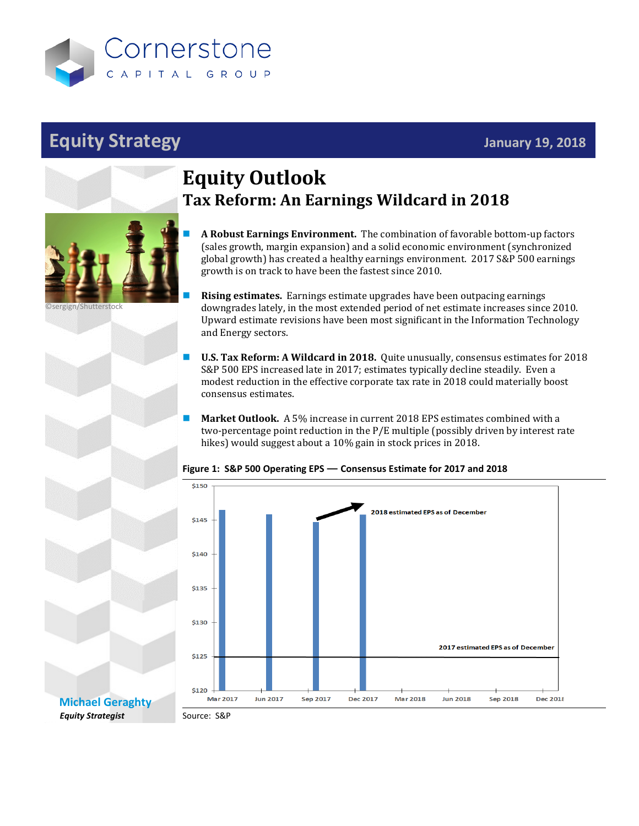

# **Equity Strategy January 19, 2018**



©sergign/Shutterstock

# **Equity Outlook Tax Reform: An Earnings Wildcard in 2018**

 **A Robust Earnings Environment.** The combination of favorable bottom-up factors (sales growth, margin expansion) and a solid economic environment (synchronized global growth) has created a healthy earnings environment. 2017 S&P 500 earnings growth is on track to have been the fastest since 2010.

 **Rising estimates.** Earnings estimate upgrades have been outpacing earnings downgrades lately, in the most extended period of net estimate increases since 2010. Upward estimate revisions have been most significant in the Information Technology and Energy sectors.

- **U.S. Tax Reform: A Wildcard in 2018.** Quite unusually, consensus estimates for 2018 S&P 500 EPS increased late in 2017; estimates typically decline steadily. Even a modest reduction in the effective corporate tax rate in 2018 could materially boost consensus estimates.
	- **Market Outlook.** A 5% increase in current 2018 EPS estimates combined with a two-percentage point reduction in the P/E multiple (possibly driven by interest rate hikes) would suggest about a 10% gain in stock prices in 2018.

#### \$150 2018 estimated EPS as of December \$145 \$140 \$135 \$130 2017 estimated EPS as of December \$125 \$120 **Mar 2017 Jun 2017** Sep 2017 **Dec 2017 Mar 2018 Jun 2018** Sep 2018 **Dec 2018**

#### **Figure 1: S&P 500 Operating EPS — Consensus Estimate for 2017 and 2018**

**[Michael Geraghty](mailto:michael.geraghty@cornerstonecapinc.com)** *Equity Strategist*

Source: S&P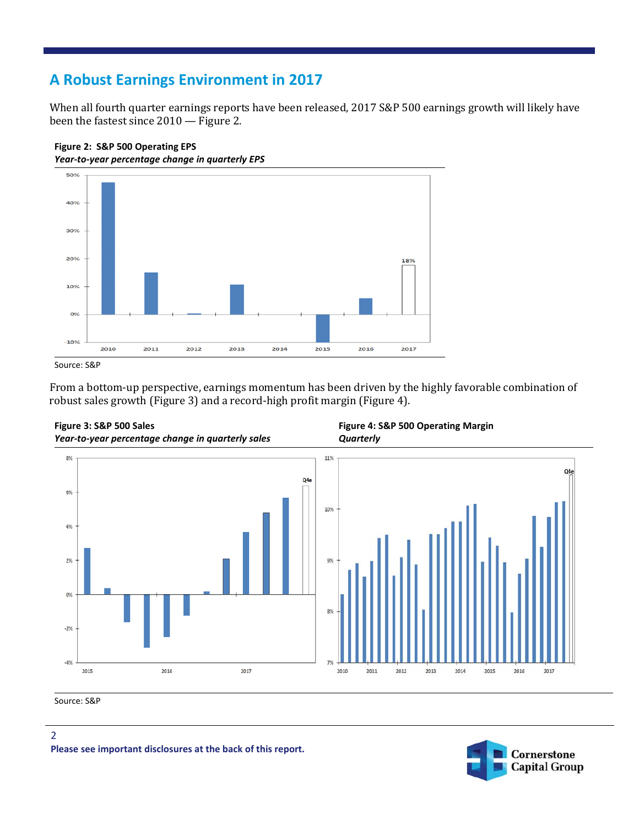### **A Robust Earnings Environment in 2017**

When all fourth quarter earnings reports have been released, 2017 S&P 500 earnings growth will likely have been the fastest since 2010 — Figure 2.





From a bottom-up perspective, earnings momentum has been driven by the highly favorable combination of robust sales growth (Figure 3) and a record-high profit margin (Figure 4).



**Figure 4: S&P 500 Operating Margin**

Source: S&P





Source: S&P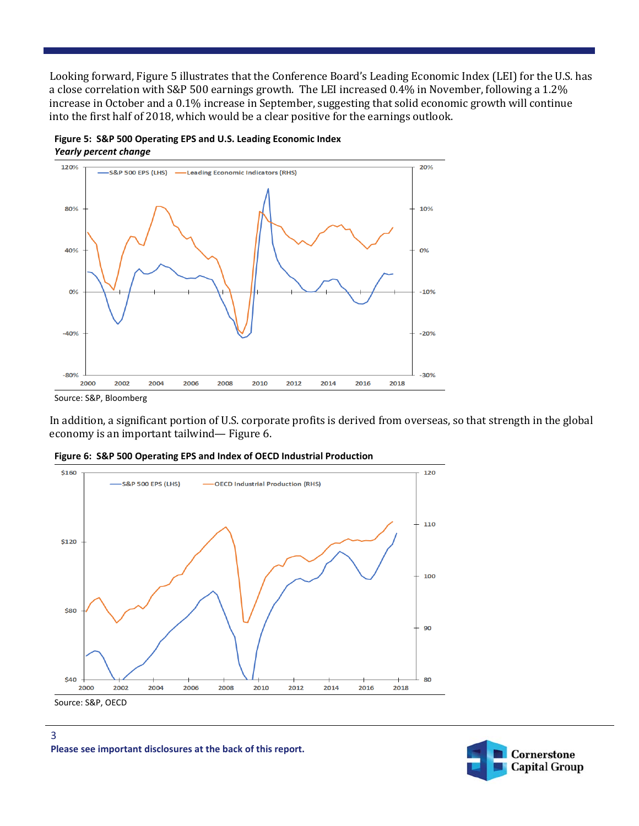Looking forward, Figure 5 illustrates that the Conference Board's Leading Economic Index (LEI) for the U.S. has a close correlation with S&P 500 earnings growth. The LEI increased 0.4% in November, following a 1.2% increase in October and a 0.1% increase in September, suggesting that solid economic growth will continue into the first half of 2018, which would be a clear positive for the earnings outlook.





Source: S&P, Bloomberg

3

In addition, a significant portion of U.S. corporate profits is derived from overseas, so that strength in the global economy is an important tailwind— Figure 6.







**Please see important disclosures at the back of this report.**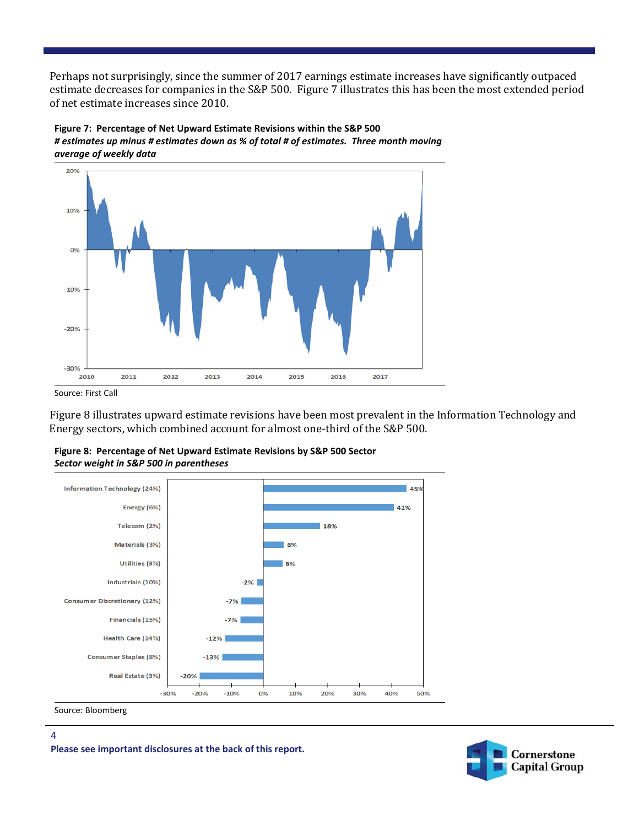Perhaps not surprisingly, since the summer of 2017 earnings estimate increases have significantly outpaced estimate decreases for companies in the S&P 500. Figure 7 illustrates this has been the most extended period of net estimate increases since 2010.



**Figure 7: Percentage of Net Upward Estimate Revisions within the S&P 500** *# estimates up minus # estimates down as % of total # of estimates. Three month moving average of weekly data*

Source: First Call

Figure 8 illustrates upward estimate revisions have been most prevalent in the Information Technology and Energy sectors, which combined account for almost one-third of the S&P 500.





Source: Bloomberg

4

**Please see important disclosures at the back of this report.**

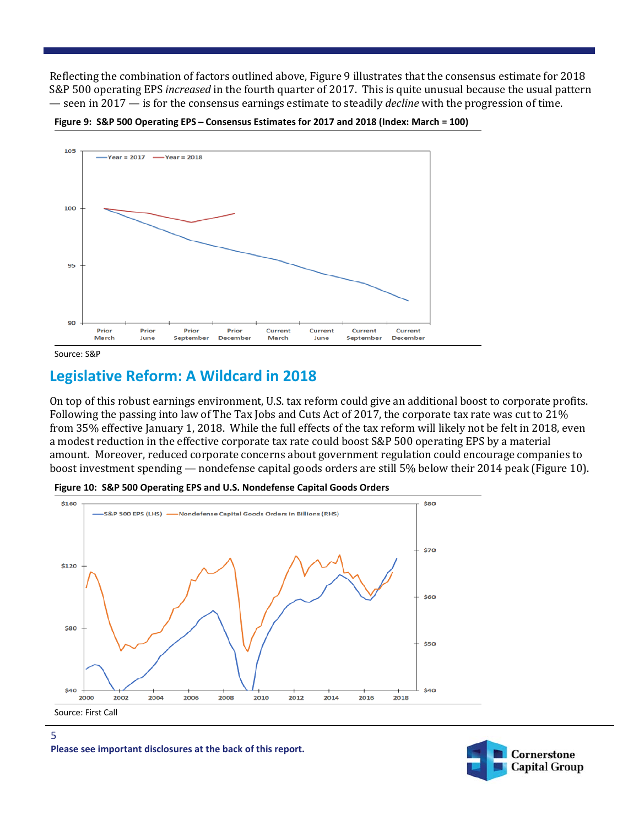Reflecting the combination of factors outlined above, Figure 9 illustrates that the consensus estimate for 2018 S&P 500 operating EPS *increased* in the fourth quarter of 2017. This is quite unusual because the usual pattern — seen in 2017 — is for the consensus earnings estimate to steadily *decline* with the progression of time.



**Figure 9: S&P 500 Operating EPS ̶Consensus Estimates for 2017 and 2018 (Index: March = 100)**

## **Legislative Reform: A Wildcard in 2018**

On top of this robust earnings environment, U.S. tax reform could give an additional boost to corporate profits. Following the passing into law of The Tax Jobs and Cuts Act of 2017, the corporate tax rate was cut to 21% from 35% effective January 1, 2018. While the full effects of the tax reform will likely not be felt in 2018, even a modest reduction in the effective corporate tax rate could boost S&P 500 operating EPS by a material amount. Moreover, reduced corporate concerns about government regulation could encourage companies to boost investment spending — nondefense capital goods orders are still 5% below their 2014 peak (Figure 10).



**Figure 10: S&P 500 Operating EPS and U.S. Nondefense Capital Goods Orders**

5



Source: S&P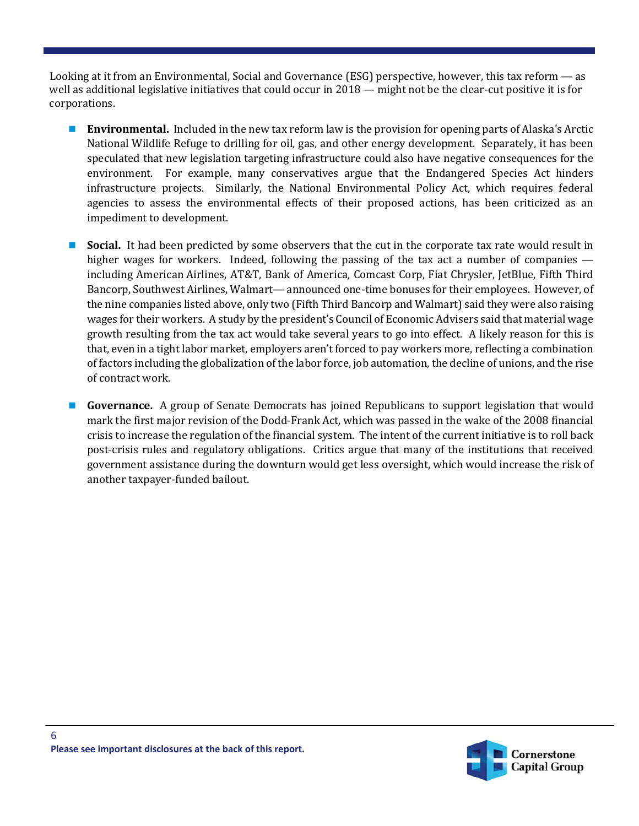Looking at it from an Environmental, Social and Governance (ESG) perspective, however, this tax reform — as well as additional legislative initiatives that could occur in 2018 — might not be the clear-cut positive it is for corporations.

- **Environmental.** Included in the new tax reform law is the provision for opening parts of Alaska's Arctic National Wildlife Refuge to drilling for oil, gas, and other energy development. Separately, it has been speculated that new legislation targeting infrastructure could also have negative consequences for the environment. For example, many conservatives argue that the Endangered Species Act hinders infrastructure projects. Similarly, the National Environmental Policy Act, which requires federal agencies to assess the environmental effects of their proposed actions, has been criticized as an impediment to development.
- **Social.** It had been predicted by some observers that the cut in the corporate tax rate would result in higher wages for workers. Indeed, following the passing of the tax act a number of companies including American Airlines, AT&T, Bank of America, Comcast Corp, Fiat Chrysler, JetBlue, Fifth Third Bancorp, Southwest Airlines, Walmart— announced one-time bonuses for their employees. However, of the nine companies listed above, only two (Fifth Third Bancorp and Walmart) said they were also raising wages for their workers. A study by the president's Council of Economic Advisers said that material wage growth resulting from the tax act would take several years to go into effect. A likely reason for this is that, even in a tight labor market, employers aren't forced to pay workers more, reflecting a combination of factors including the globalization of the labor force, job automation, the decline of unions, and the rise of contract work.
- **Governance.** A group of Senate Democrats has joined Republicans to support legislation that would mark the first major revision of the Dodd-Frank Act, which was passed in the wake of the 2008 financial crisis to increase the regulation of the financial system. The intent of the current initiative is to roll back post-crisis rules and regulatory obligations. Critics argue that many of the institutions that received government assistance during the downturn would get less oversight, which would increase the risk of another taxpayer-funded bailout.



6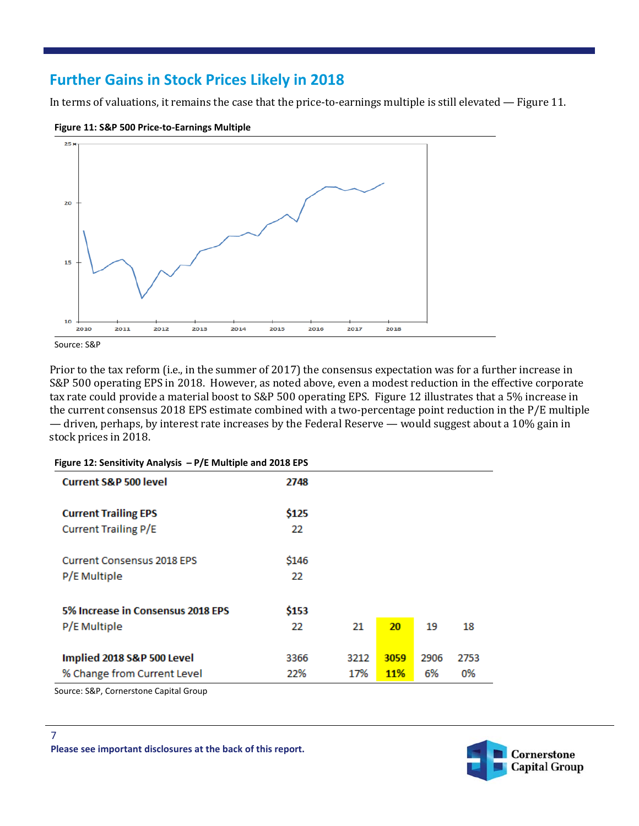### **Further Gains in Stock Prices Likely in 2018**

In terms of valuations, it remains the case that the price-to-earnings multiple is still elevated — Figure 11.



**Figure 11: S&P 500 Price-to-Earnings Multiple**



| <b>Current S&amp;P 500 level</b>  | 2748  |      |            |      |      |
|-----------------------------------|-------|------|------------|------|------|
| <b>Current Trailing EPS</b>       | \$125 |      |            |      |      |
| <b>Current Trailing P/E</b>       | 22    |      |            |      |      |
| <b>Current Consensus 2018 EPS</b> | \$146 |      |            |      |      |
| P/E Multiple                      | 22    |      |            |      |      |
| 5% Increase in Consensus 2018 EPS | \$153 |      |            |      |      |
| P/E Multiple                      | 22    | 21   | 20         | 19   | 18   |
| Implied 2018 S&P 500 Level        | 3366  | 3212 | 3059       | 2906 | 2753 |
| % Change from Current Level       | 22%   | 17%  | <b>11%</b> | 6%   | 0%   |

#### **Figure 12: Sensitivity Analysis ̶P/E Multiple and 2018 EPS**

Source: S&P, Cornerstone Capital Group

7



**Please see important disclosures at the back of this report.**